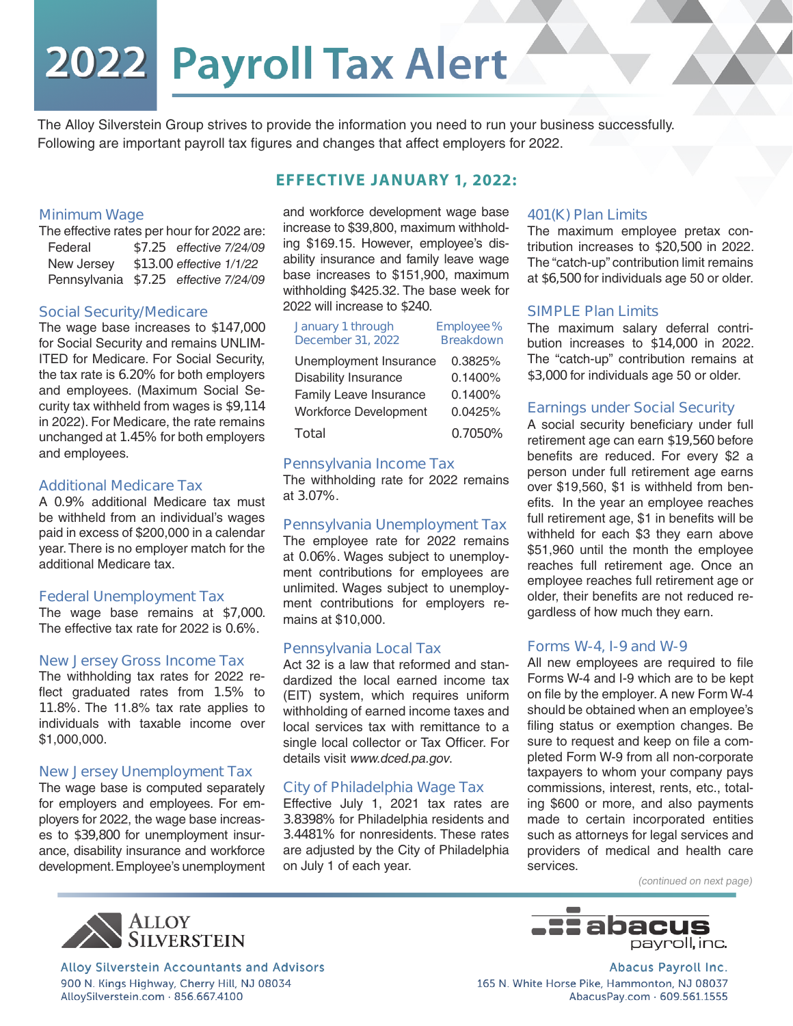# 2022 Payroll Tax Alert

The Alloy Silverstein Group strives to provide the information you need to run your business successfully. Following are important payroll tax figures and changes that affect employers for 2022.

#### **Minimum Wage**

The effective rates per hour for 2022 are: Federal **\$7.25** effective 7/24/09 New Jersey **\$13.00** effective 1/1/22 Pennsylvania **\$7.25** effective 7/24/09

#### **Social Security/Medicare**

The wage base increases to **\$147,000**  for Social Security and remains UNLIM-ITED for Medicare. For Social Security, the tax rate is **6.20%** for both employers and employees. (Maximum Social Security tax withheld from wages is **\$9,114**  in 2022). For Medicare, the rate remains unchanged at **1.45%** for both employers and employees.

#### **Additional Medicare Tax**

A **0.9%** additional Medicare tax must be withheld from an individual's wages paid in excess of \$200,000 in a calendar year. There is no employer match for the additional Medicare tax.

#### **Federal Unemployment Tax**

The wage base remains at **\$7,000**. The effective tax rate for 2022 is **0.6%**.

#### **New Jersey Gross Income Tax**

The withholding tax rates for 2022 reflect graduated rates from **1.5%** to **11.8%**. The 11.8% tax rate applies to individuals with taxable income over \$1,000,000.

## **New Jersey Unemployment Tax**

The wage base is computed separately for employers and employees. For employers for 2022, the wage base increases to **\$39,800** for unemployment insurance, disability insurance and workforce development. Employee's unemployment and workforce development wage base increase to \$39,800, maximum withholding \$169.15. However, employee's disability insurance and family leave wage base increases to \$151,900, maximum withholding \$425.32. The base week for 2022 will increase to **\$240**.

**EFFECTIVE JANUARY 1, 2022:**

| January 1 through<br><b>December 31, 2022</b> | Employee%<br><b>Breakdown</b> |
|-----------------------------------------------|-------------------------------|
| Unemployment Insurance                        | 0.3825%                       |
| <b>Disability Insurance</b>                   | 0.1400%                       |
| Family Leave Insurance                        | 0.1400%                       |
| <b>Workforce Development</b>                  | 0.0425%                       |
| Total                                         | 0.7050%                       |

# **Pennsylvania Income Tax**

The withholding rate for 2022 remains at **3.07%**.

#### **Pennsylvania Unemployment Tax**

The employee rate for 2022 remains at **0.06%**. Wages subject to unemployment contributions for employees are unlimited. Wages subject to unemployment contributions for employers remains at \$10,000.

#### **Pennsylvania Local Tax**

Act 32 is a law that reformed and standardized the local earned income tax (EIT) system, which requires uniform withholding of earned income taxes and local services tax with remittance to a single local collector or Tax Officer. For details visit www.dced.pa.gov.

# **City of Philadelphia Wage Tax**

Effective July 1, 2021 tax rates are **3.8398%** for Philadelphia residents and **3.4481%** for nonresidents. These rates are adjusted by the City of Philadelphia on July 1 of each year.

#### **401(K) Plan Limits**

The maximum employee pretax contribution increases to **\$20,500** in 2022. The "catch-up" contribution limit remains at **\$6,500** for individuals age 50 or older.

#### **SIMPLE Plan Limits**

The maximum salary deferral contribution increases to **\$14,000** in 2022. The "catch-up" contribution remains at **\$3,000** for individuals age 50 or older.

#### **Earnings under Social Security**

A social security beneficiary under full retirement age can earn **\$19,560** before benefits are reduced. For every \$2 a person under full retirement age earns over \$19,560, \$1 is withheld from benefits. In the year an employee reaches full retirement age, \$1 in benefits will be withheld for each \$3 they earn above \$51,960 until the month the employee reaches full retirement age. Once an employee reaches full retirement age or older, their benefits are not reduced regardless of how much they earn.

#### **Forms W-4, I-9 and W-9**

All new employees are required to file Forms W-4 and I-9 which are to be kept on file by the employer. A new Form W-4 should be obtained when an employee's filing status or exemption changes. Be sure to request and keep on file a completed Form W-9 from all non-corporate taxpayers to whom your company pays commissions, interest, rents, etc., totaling \$600 or more, and also payments made to certain incorporated entities such as attorneys for legal services and providers of medical and health care services.

(continued on next page)





Alloy Silverstein Accountants and Advisors 900 N. Kings Highway, Cherry Hill, NJ 08034 AlloySilverstein.com · 856.667.4100

Abacus Payroll Inc. 165 N. White Horse Pike, Hammonton, NJ 08037 AbacusPay.com · 609.561.1555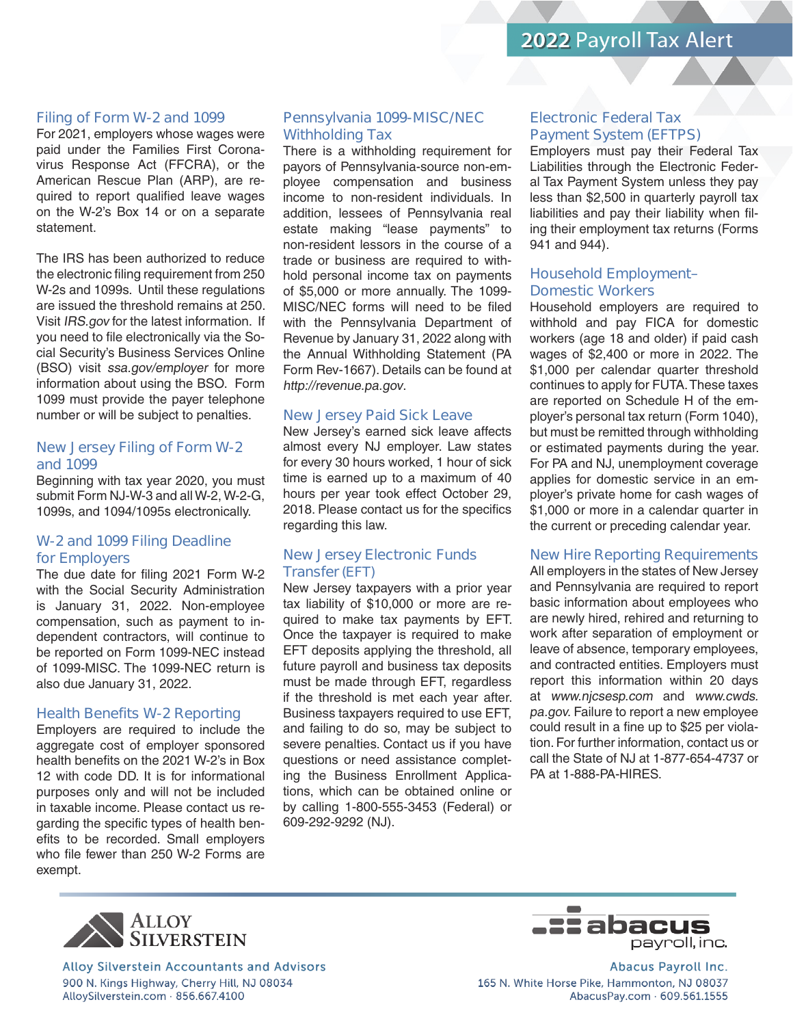# 2022 Payroll Tax Alert

#### **Filing of Form W-2 and 1099**

For 2021, employers whose wages were paid under the Families First Coronavirus Response Act (FFCRA), or the American Rescue Plan (ARP), are required to report qualified leave wages on the W-2's Box 14 or on a separate statement.

The IRS has been authorized to reduce the electronic filing requirement from 250 W-2s and 1099s. Until these regulations are issued the threshold remains at 250. Visit IRS.gov for the latest information. If you need to file electronically via the Social Security's Business Services Online (BSO) visit ssa.gov/employer for more information about using the BSO. Form 1099 must provide the payer telephone number or will be subject to penalties.

#### **New Jersey Filing of Form W-2 and 1099**

Beginning with tax year 2020, you must submit Form NJ-W-3 and all W-2, W-2-G, 1099s, and 1094/1095s electronically.

# **W-2 and 1099 Filing Deadline for Employers**

The due date for filing 2021 Form W-2 with the Social Security Administration is January 31, 2022. Non-employee compensation, such as payment to independent contractors, will continue to be reported on Form 1099-NEC instead of 1099-MISC. The 1099-NEC return is also due January 31, 2022.

#### **Health Benefits W-2 Reporting**

Employers are required to include the aggregate cost of employer sponsored health benefits on the 2021 W-2's in Box 12 with code DD. It is for informational purposes only and will not be included in taxable income. Please contact us regarding the specific types of health benefits to be recorded. Small employers who file fewer than 250 W-2 Forms are exempt.

# **Pennsylvania 1099-MISC/NEC Withholding Tax**

There is a withholding requirement for payors of Pennsylvania-source non-employee compensation and business income to non-resident individuals. In addition, lessees of Pennsylvania real estate making "lease payments" to non-resident lessors in the course of a trade or business are required to withhold personal income tax on payments of \$5,000 or more annually. The 1099- MISC/NEC forms will need to be filed with the Pennsylvania Department of Revenue by January 31, 2022 along with the Annual Withholding Statement (PA Form Rev-1667). Details can be found at http://revenue.pa.gov.

#### **New Jersey Paid Sick Leave**

New Jersey's earned sick leave affects almost every NJ employer. Law states for every 30 hours worked, 1 hour of sick time is earned up to a maximum of 40 hours per year took effect October 29, 2018. Please contact us for the specifics regarding this law.

# **New Jersey Electronic Funds Transfer(EFT)**

New Jersey taxpayers with a prior year tax liability of \$10,000 or more are required to make tax payments by EFT. Once the taxpayer is required to make EFT deposits applying the threshold, all future payroll and business tax deposits must be made through EFT, regardless if the threshold is met each year after. Business taxpayers required to use EFT, and failing to do so, may be subject to severe penalties. Contact us if you have questions or need assistance completing the Business Enrollment Applications, which can be obtained online or by calling 1-800-555-3453 (Federal) or 609-292-9292 (NJ).

## **Electronic Federal Tax Payment System (EFTPS)**

Employers must pay their Federal Tax Liabilities through the Electronic Federal Tax Payment System unless they pay less than \$2,500 in quarterly payroll tax liabilities and pay their liability when filing their employment tax returns (Forms 941 and 944).

# **Household Employment– Domestic Workers**

Household employers are required to withhold and pay FICA for domestic workers (age 18 and older) if paid cash wages of \$2,400 or more in 2022. The \$1,000 per calendar quarter threshold continues to apply for FUTA. These taxes are reported on Schedule H of the employer's personal tax return (Form 1040), but must be remitted through withholding or estimated payments during the year. For PA and NJ, unemployment coverage applies for domestic service in an employer's private home for cash wages of \$1,000 or more in a calendar quarter in the current or preceding calendar year.

# **New Hire Reporting Requirements**

All employers in the states of New Jersey and Pennsylvania are required to report basic information about employees who are newly hired, rehired and returning to work after separation of employment or leave of absence, temporary employees, and contracted entities. Employers must report this information within 20 days at www.njcsesp.com and www.cwds. pa.gov. Failure to report a new employee could result in a fine up to \$25 per violation. For further information, contact us or call the State of NJ at 1-877-654-4737 or PA at 1-888-PA-HIRES



**Alloy Silverstein Accountants and Advisors** 900 N. Kings Highway, Cherry Hill, NJ 08034 AlloySilverstein.com · 856.667.4100



**Abacus Payroll Inc.** 165 N. White Horse Pike, Hammonton, NJ 08037 AbacusPay.com · 609.561.1555